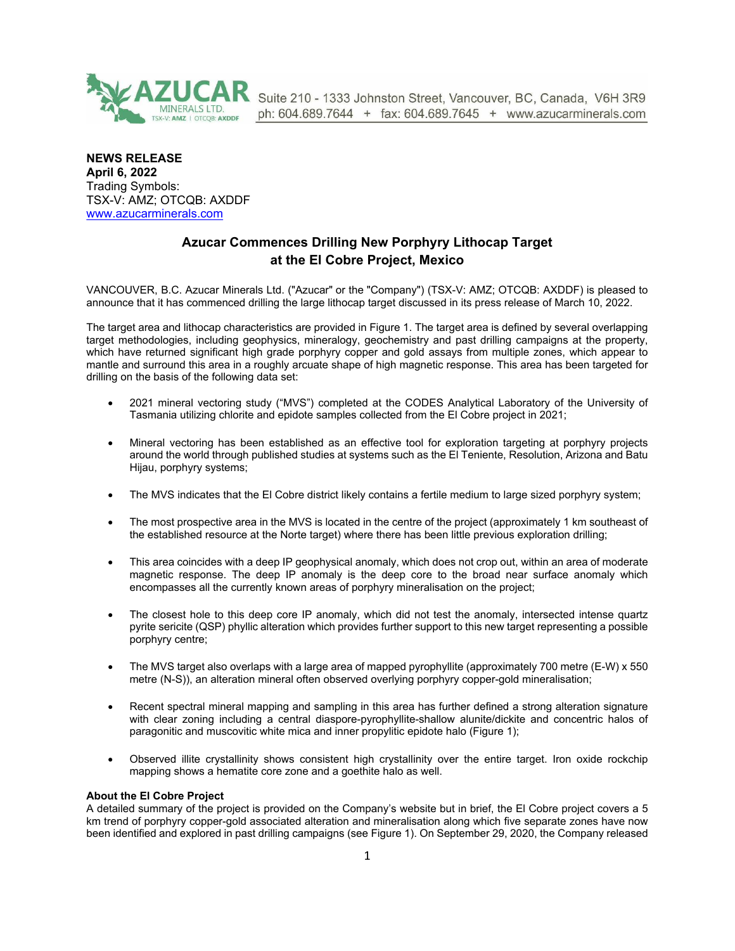

Suite 210 - 1333 Johnston Street, Vancouver, BC, Canada, V6H 3R9 ph: 604.689.7644 + fax: 604.689.7645 + www.azucarminerals.com

**NEWS RELEASE April 6, 2022** Trading Symbols: TSX-V: AMZ; OTCQB: AXDDF [www.azucarminerals.com](http://www.azucarminerals.com/)

# **Azucar Commences Drilling New Porphyry Lithocap Target at the El Cobre Project, Mexico**

VANCOUVER, B.C. Azucar Minerals Ltd. ("Azucar" or the "Company") (TSX-V: AMZ; OTCQB: AXDDF) is pleased to announce that it has commenced drilling the large lithocap target discussed in its press release of March 10, 2022.

The target area and lithocap characteristics are provided in Figure 1. The target area is defined by several overlapping target methodologies, including geophysics, mineralogy, geochemistry and past drilling campaigns at the property, which have returned significant high grade porphyry copper and gold assays from multiple zones, which appear to mantle and surround this area in a roughly arcuate shape of high magnetic response. This area has been targeted for drilling on the basis of the following data set:

- 2021 mineral vectoring study ("MVS") completed at the CODES Analytical Laboratory of the University of Tasmania utilizing chlorite and epidote samples collected from the El Cobre project in 2021;
- Mineral vectoring has been established as an effective tool for exploration targeting at porphyry projects around the world through published studies at systems such as the El Teniente, Resolution, Arizona and Batu Hijau, porphyry systems;
- The MVS indicates that the El Cobre district likely contains a fertile medium to large sized porphyry system;
- The most prospective area in the MVS is located in the centre of the project (approximately 1 km southeast of the established resource at the Norte target) where there has been little previous exploration drilling;
- This area coincides with a deep IP geophysical anomaly, which does not crop out, within an area of moderate magnetic response. The deep IP anomaly is the deep core to the broad near surface anomaly which encompasses all the currently known areas of porphyry mineralisation on the project;
- The closest hole to this deep core IP anomaly, which did not test the anomaly, intersected intense quartz pyrite sericite (QSP) phyllic alteration which provides further support to this new target representing a possible porphyry centre;
- The MVS target also overlaps with a large area of mapped pyrophyllite (approximately 700 metre (E-W) x 550 metre (N-S)), an alteration mineral often observed overlying porphyry copper-gold mineralisation;
- Recent spectral mineral mapping and sampling in this area has further defined a strong alteration signature with clear zoning including a central diaspore-pyrophyllite-shallow alunite/dickite and concentric halos of paragonitic and muscovitic white mica and inner propylitic epidote halo (Figure 1);
- Observed illite crystallinity shows consistent high crystallinity over the entire target. Iron oxide rockchip mapping shows a hematite core zone and a goethite halo as well.

### **About the El Cobre Project**

A detailed summary of the project is provided on the Company's website but in brief, the El Cobre project covers a 5 km trend of porphyry copper-gold associated alteration and mineralisation along which five separate zones have now been identified and explored in past drilling campaigns (see Figure 1). On September 29, 2020, the Company released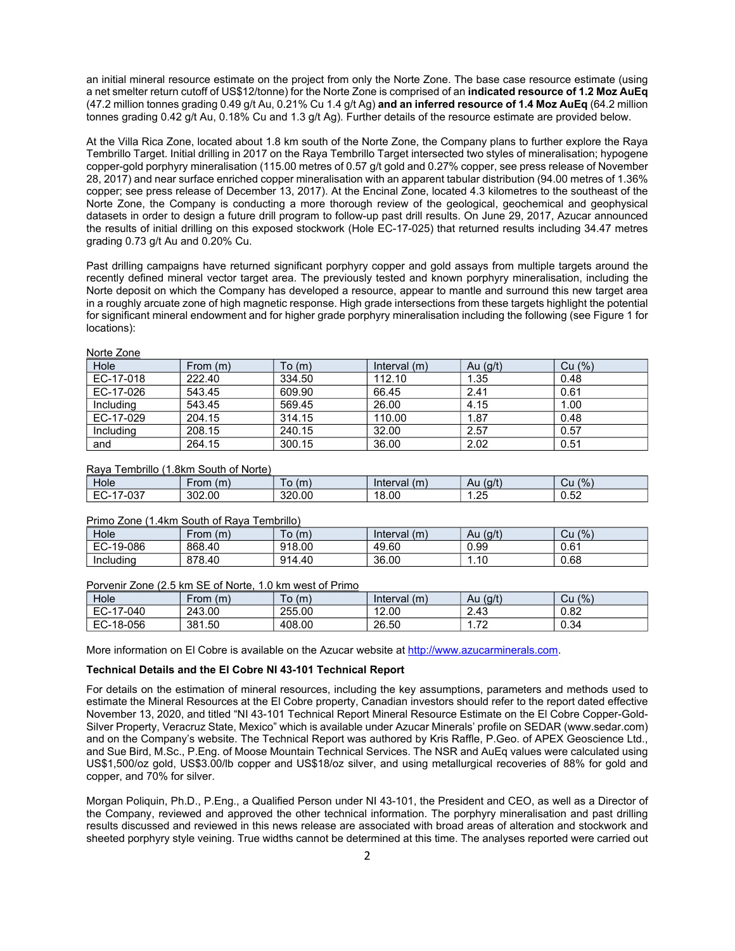an initial mineral resource estimate on the project from only the Norte Zone. The base case resource estimate (using a net smelter return cutoff of US\$12/tonne) for the Norte Zone is comprised of an **indicated resource of 1.2 Moz AuEq** (47.2 million tonnes grading 0.49 g/t Au, 0.21% Cu 1.4 g/t Ag) **and an inferred resource of 1.4 Moz AuEq** (64.2 million tonnes grading 0.42 g/t Au, 0.18% Cu and 1.3 g/t Ag). Further details of the resource estimate are provided below.

At the Villa Rica Zone, located about 1.8 km south of the Norte Zone, the Company plans to further explore the Raya Tembrillo Target. Initial drilling in 2017 on the Raya Tembrillo Target intersected two styles of mineralisation; hypogene copper-gold porphyry mineralisation (115.00 metres of 0.57 g/t gold and 0.27% copper, see press release of November 28, 2017) and near surface enriched copper mineralisation with an apparent tabular distribution (94.00 metres of 1.36% copper; see press release of December 13, 2017). At the Encinal Zone, located 4.3 kilometres to the southeast of the Norte Zone, the Company is conducting a more thorough review of the geological, geochemical and geophysical datasets in order to design a future drill program to follow-up past drill results. On June 29, 2017, Azucar announced the results of initial drilling on this exposed stockwork (Hole EC-17-025) that returned results including 34.47 metres grading 0.73 g/t Au and 0.20% Cu.

Past drilling campaigns have returned significant porphyry copper and gold assays from multiple targets around the recently defined mineral vector target area. The previously tested and known porphyry mineralisation, including the Norte deposit on which the Company has developed a resource, appear to mantle and surround this new target area in a roughly arcuate zone of high magnetic response. High grade intersections from these targets highlight the potential for significant mineral endowment and for higher grade porphyry mineralisation including the following (see Figure 1 for locations):

| <b>INDITE COLIC</b> |            |        |              |            |        |  |
|---------------------|------------|--------|--------------|------------|--------|--|
| Hole                | From $(m)$ | To(m)  | Interval (m) | Au $(g/t)$ | Cu (%) |  |
| EC-17-018           | 222.40     | 334.50 | 112.10       | 1.35       | 0.48   |  |
| EC-17-026           | 543.45     | 609.90 | 66.45        | 2.41       | 0.61   |  |
| Including           | 543.45     | 569.45 | 26.00        | 4.15       | 1.00   |  |
| EC-17-029           | 204.15     | 314.15 | 110.00       | 1.87       | 0.48   |  |
| Including           | 208.15     | 240.15 | 32.00        | 2.57       | 0.57   |  |
| and                 | 264.15     | 300.15 | 36.00        | 2.02       | 0.51   |  |

Norte Zone

## Raya Tembrillo (1.8km South of Norte)

| Hole                      | (m)    | (m)    | (m)      | (g/t) | (9/6)      |
|---------------------------|--------|--------|----------|-------|------------|
|                           | ·rom   | 10     | Interval | Au    | Ψu         |
| $\sim$<br>-<br>υo<br>∵−ب∟ | 302.00 | 320.00 | 18.00    | .25   | よつ<br>v.oz |

#### Primo Zone (1.4km South of Raya Tembrillo)

| Hole      | (m)<br>-rom | To<br>(m) | Interval $(m)$ | (g/t)<br>Au | (9/6)<br>Сu |
|-----------|-------------|-----------|----------------|-------------|-------------|
| EC-19-086 | 868.40      | 918.00    | 49.60          | 0.99        | 0.61        |
| Including | 878.40      | 914.40    | 36.00          | . 10.       | 0.68        |

#### Porvenir Zone (2.5 km SE of Norte, 1.0 km west of Primo

| Hole           | ⊦rom<br>(m) | To(m)  | Interval<br>(m) | (g/t)<br>Au | (% )<br>Cu |
|----------------|-------------|--------|-----------------|-------------|------------|
| EC-17<br>7-040 | 243.00      | 255.00 | 12.00           | 2.43        | 0.82       |
| EC-18-056      | 381.50      | 408.00 | 26.50           | 70<br>.     | 0.34       |

More information on El Cobre is available on the Azucar website at [http://www.azucarminerals.com](http://www.azucarminerals.com/).

#### **Technical Details and the El Cobre NI 43-101 Technical Report**

For details on the estimation of mineral resources, including the key assumptions, parameters and methods used to estimate the Mineral Resources at the El Cobre property, Canadian investors should refer to the report dated effective November 13, 2020, and titled "NI 43-101 Technical Report Mineral Resource Estimate on the El Cobre Copper-Gold-Silver Property, Veracruz State, Mexico" which is available under Azucar Minerals' profile on SEDAR ([www.sedar.com](https://www.globenewswire.com/Tracker?data=H97e7xp4OnnhH6KKINIULm1PmCrjO785f-crMi0jMOZv6JU_6JnToF5WG9MWBuyryHVo541vCuqmhSK4Le-I4g==)) and on the Company's website. The Technical Report was authored by Kris Raffle, P.Geo. of APEX Geoscience Ltd., and Sue Bird, M.Sc., P.Eng. of Moose Mountain Technical Services. The NSR and AuEq values were calculated using US\$1,500/oz gold, US\$3.00/lb copper and US\$18/oz silver, and using metallurgical recoveries of 88% for gold and copper, and 70% for silver.

Morgan Poliquin, Ph.D., P.Eng., a Qualified Person under NI 43-101, the President and CEO, as well as a Director of the Company, reviewed and approved the other technical information. The porphyry mineralisation and past drilling results discussed and reviewed in this news release are associated with broad areas of alteration and stockwork and sheeted porphyry style veining. True widths cannot be determined at this time. The analyses reported were carried out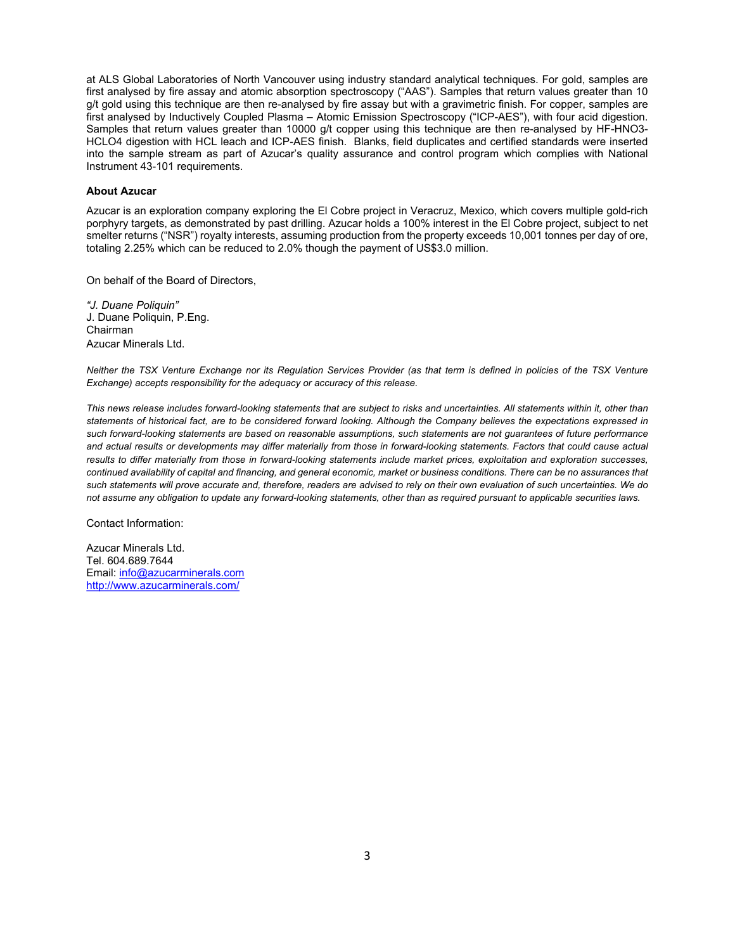at ALS Global Laboratories of North Vancouver using industry standard analytical techniques. For gold, samples are first analysed by fire assay and atomic absorption spectroscopy ("AAS"). Samples that return values greater than 10 g/t gold using this technique are then re-analysed by fire assay but with a gravimetric finish. For copper, samples are first analysed by Inductively Coupled Plasma – Atomic Emission Spectroscopy ("ICP-AES"), with four acid digestion. Samples that return values greater than 10000 g/t copper using this technique are then re-analysed by HF-HNO3- HCLO4 digestion with HCL leach and ICP-AES finish. Blanks, field duplicates and certified standards were inserted into the sample stream as part of Azucar's quality assurance and control program which complies with National Instrument 43-101 requirements.

## **About Azucar**

Azucar is an exploration company exploring the El Cobre project in Veracruz, Mexico, which covers multiple gold-rich porphyry targets, as demonstrated by past drilling. Azucar holds a 100% interest in the El Cobre project, subject to net smelter returns ("NSR") royalty interests, assuming production from the property exceeds 10,001 tonnes per day of ore, totaling 2.25% which can be reduced to 2.0% though the payment of US\$3.0 million.

On behalf of the Board of Directors,

*"J. Duane Poliquin"* J. Duane Poliquin, P.Eng. Chairman Azucar Minerals Ltd.

*Neither the TSX Venture Exchange nor its Regulation Services Provider (as that term is defined in policies of the TSX Venture Exchange) accepts responsibility for the adequacy or accuracy of this release.* 

*This news release includes forward-looking statements that are subject to risks and uncertainties. All statements within it, other than statements of historical fact, are to be considered forward looking. Although the Company believes the expectations expressed in such forward-looking statements are based on reasonable assumptions, such statements are not guarantees of future performance and actual results or developments may differ materially from those in forward-looking statements. Factors that could cause actual results to differ materially from those in forward-looking statements include market prices, exploitation and exploration successes, continued availability of capital and financing, and general economic, market or business conditions. There can be no assurances that such statements will prove accurate and, therefore, readers are advised to rely on their own evaluation of such uncertainties. We do not assume any obligation to update any forward-looking statements, other than as required pursuant to applicable securities laws.*

Contact Information:

Azucar Minerals Ltd. Tel. 604.689.7644 Email: [info@azucarminerals.com](mailto:info@azucarminerals.com) <http://www.azucarminerals.com/>